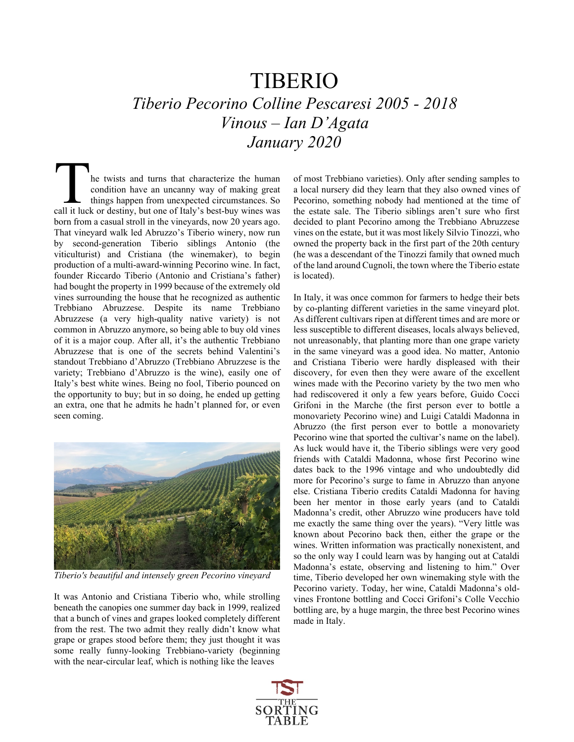# TIBERIO *Tiberio Pecorino Colline Pescaresi 2005 - 2018 Vinous – Ian D'Agata January 2020*

he twists and turns that characterize the human condition have an uncanny way of making great things happen from unexpected circumstances. So The twists and turns that characterize the human condition have an uncanny way of making great things happen from unexpected circumstances. So call it luck or destiny, but one of Italy's best-buy wines was born from a casual stroll in the vineyards, now 20 years ago. That vineyard walk led Abruzzo's Tiberio winery, now run by second-generation Tiberio siblings Antonio (the viticulturist) and Cristiana (the winemaker), to begin production of a multi-award-winning Pecorino wine. In fact, founder Riccardo Tiberio (Antonio and Cristiana's father) had bought the property in 1999 because of the extremely old vines surrounding the house that he recognized as authentic Trebbiano Abruzzese. Despite its name Trebbiano Abruzzese (a very high-quality native variety) is not common in Abruzzo anymore, so being able to buy old vines of it is a major coup. After all, it's the authentic Trebbiano Abruzzese that is one of the secrets behind Valentini's standout Trebbiano d'Abruzzo (Trebbiano Abruzzese is the variety; Trebbiano d'Abruzzo is the wine), easily one of Italy's best white wines. Being no fool, Tiberio pounced on the opportunity to buy; but in so doing, he ended up getting an extra, one that he admits he hadn't planned for, or even seen coming.



*Tiberio's beautiful and intensely green Pecorino vineyard*

It was Antonio and Cristiana Tiberio who, while strolling beneath the canopies one summer day back in 1999, realized that a bunch of vines and grapes looked completely different from the rest. The two admit they really didn't know what grape or grapes stood before them; they just thought it was some really funny-looking Trebbiano-variety (beginning with the near-circular leaf, which is nothing like the leaves

of most Trebbiano varieties). Only after sending samples to a local nursery did they learn that they also owned vines of Pecorino, something nobody had mentioned at the time of the estate sale. The Tiberio siblings aren't sure who first decided to plant Pecorino among the Trebbiano Abruzzese vines on the estate, but it was most likely Silvio Tinozzi, who owned the property back in the first part of the 20th century (he was a descendant of the Tinozzi family that owned much of the land around Cugnoli, the town where the Tiberio estate is located).

In Italy, it was once common for farmers to hedge their bets by co-planting different varieties in the same vineyard plot. As different cultivars ripen at different times and are more or less susceptible to different diseases, locals always believed, not unreasonably, that planting more than one grape variety in the same vineyard was a good idea. No matter, Antonio and Cristiana Tiberio were hardly displeased with their discovery, for even then they were aware of the excellent wines made with the Pecorino variety by the two men who had rediscovered it only a few years before, Guido Cocci Grifoni in the Marche (the first person ever to bottle a monovariety Pecorino wine) and Luigi Cataldi Madonna in Abruzzo (the first person ever to bottle a monovariety Pecorino wine that sported the cultivar's name on the label). As luck would have it, the Tiberio siblings were very good friends with Cataldi Madonna, whose first Pecorino wine dates back to the 1996 vintage and who undoubtedly did more for Pecorino's surge to fame in Abruzzo than anyone else. Cristiana Tiberio credits Cataldi Madonna for having been her mentor in those early years (and to Cataldi Madonna's credit, other Abruzzo wine producers have told me exactly the same thing over the years). "Very little was known about Pecorino back then, either the grape or the wines. Written information was practically nonexistent, and so the only way I could learn was by hanging out at Cataldi Madonna's estate, observing and listening to him." Over time, Tiberio developed her own winemaking style with the Pecorino variety. Today, her wine, Cataldi Madonna's oldvines Frontone bottling and Cocci Grifoni's Colle Vecchio bottling are, by a huge margin, the three best Pecorino wines made in Italy.

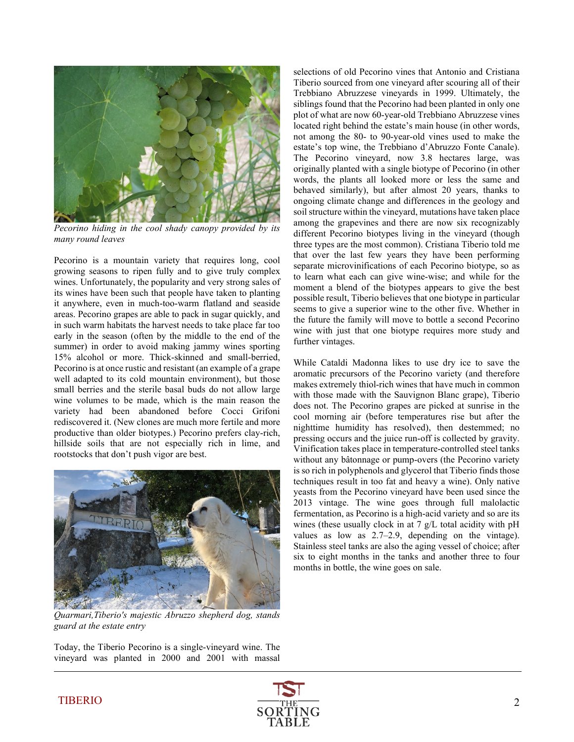

*Pecorino hiding in the cool shady canopy provided by its many round leaves*

Pecorino is a mountain variety that requires long, cool growing seasons to ripen fully and to give truly complex wines. Unfortunately, the popularity and very strong sales of its wines have been such that people have taken to planting it anywhere, even in much-too-warm flatland and seaside areas. Pecorino grapes are able to pack in sugar quickly, and in such warm habitats the harvest needs to take place far too early in the season (often by the middle to the end of the summer) in order to avoid making jammy wines sporting 15% alcohol or more. Thick-skinned and small-berried, Pecorino is at once rustic and resistant (an example of a grape well adapted to its cold mountain environment), but those small berries and the sterile basal buds do not allow large wine volumes to be made, which is the main reason the variety had been abandoned before Cocci Grifoni rediscovered it. (New clones are much more fertile and more productive than older biotypes.) Pecorino prefers clay-rich, hillside soils that are not especially rich in lime, and rootstocks that don't push vigor are best.



*Quarmari,Tiberio's majestic Abruzzo shepherd dog, stands guard at the estate entry*

Today, the Tiberio Pecorino is a single-vineyard wine. The vineyard was planted in 2000 and 2001 with massal selections of old Pecorino vines that Antonio and Cristiana Tiberio sourced from one vineyard after scouring all of their Trebbiano Abruzzese vineyards in 1999. Ultimately, the siblings found that the Pecorino had been planted in only one plot of what are now 60-year-old Trebbiano Abruzzese vines located right behind the estate's main house (in other words, not among the 80- to 90-year-old vines used to make the estate's top wine, the Trebbiano d'Abruzzo Fonte Canale). The Pecorino vineyard, now 3.8 hectares large, was originally planted with a single biotype of Pecorino (in other words, the plants all looked more or less the same and behaved similarly), but after almost 20 years, thanks to ongoing climate change and differences in the geology and soil structure within the vineyard, mutations have taken place among the grapevines and there are now six recognizably different Pecorino biotypes living in the vineyard (though three types are the most common). Cristiana Tiberio told me that over the last few years they have been performing separate microvinifications of each Pecorino biotype, so as to learn what each can give wine-wise; and while for the moment a blend of the biotypes appears to give the best possible result, Tiberio believes that one biotype in particular seems to give a superior wine to the other five. Whether in the future the family will move to bottle a second Pecorino wine with just that one biotype requires more study and further vintages.

While Cataldi Madonna likes to use dry ice to save the aromatic precursors of the Pecorino variety (and therefore makes extremely thiol-rich wines that have much in common with those made with the Sauvignon Blanc grape), Tiberio does not. The Pecorino grapes are picked at sunrise in the cool morning air (before temperatures rise but after the nighttime humidity has resolved), then destemmed; no pressing occurs and the juice run-off is collected by gravity. Vinification takes place in temperature-controlled steel tanks without any bâtonnage or pump-overs (the Pecorino variety is so rich in polyphenols and glycerol that Tiberio finds those techniques result in too fat and heavy a wine). Only native yeasts from the Pecorino vineyard have been used since the 2013 vintage. The wine goes through full malolactic fermentation, as Pecorino is a high-acid variety and so are its wines (these usually clock in at 7 g/L total acidity with pH values as low as 2.7–2.9, depending on the vintage). Stainless steel tanks are also the aging vessel of choice; after six to eight months in the tanks and another three to four months in bottle, the wine goes on sale.



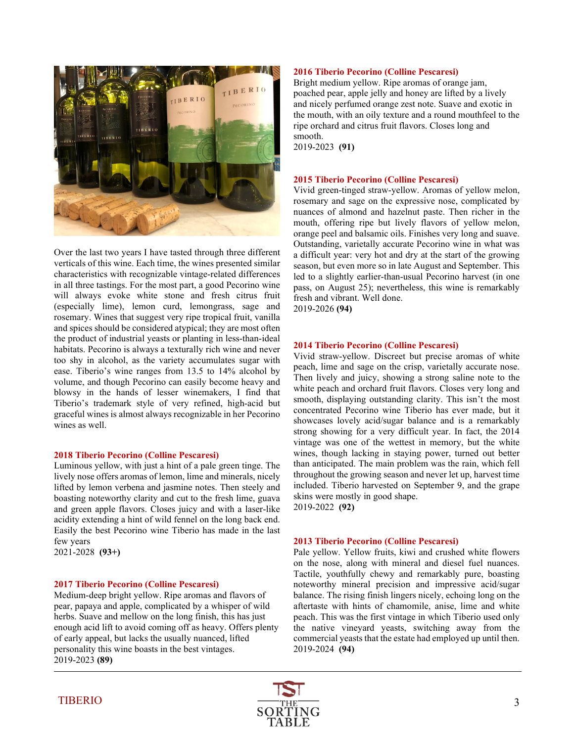

Over the last two years I have tasted through three different verticals of this wine. Each time, the wines presented similar characteristics with recognizable vintage-related differences in all three tastings. For the most part, a good Pecorino wine will always evoke white stone and fresh citrus fruit (especially lime), lemon curd, lemongrass, sage and rosemary. Wines that suggest very ripe tropical fruit, vanilla and spices should be considered atypical; they are most often the product of industrial yeasts or planting in less-than-ideal habitats. Pecorino is always a texturally rich wine and never too shy in alcohol, as the variety accumulates sugar with ease. Tiberio's wine ranges from 13.5 to 14% alcohol by volume, and though Pecorino can easily become heavy and blowsy in the hands of lesser winemakers, I find that Tiberio's trademark style of very refined, high-acid but graceful wines is almost always recognizable in her Pecorino wines as well.

## **2018 Tiberio Pecorino (Colline Pescaresi)**

Luminous yellow, with just a hint of a pale green tinge. The lively nose offers aromas of lemon, lime and minerals, nicely lifted by lemon verbena and jasmine notes. Then steely and boasting noteworthy clarity and cut to the fresh lime, guava and green apple flavors. Closes juicy and with a laser-like acidity extending a hint of wild fennel on the long back end. Easily the best Pecorino wine Tiberio has made in the last few years 2021-2028 **(93+)**

#### **2017 Tiberio Pecorino (Colline Pescaresi)**

Medium-deep bright yellow. Ripe aromas and flavors of pear, papaya and apple, complicated by a whisper of wild herbs. Suave and mellow on the long finish, this has just enough acid lift to avoid coming off as heavy. Offers plenty of early appeal, but lacks the usually nuanced, lifted personality this wine boasts in the best vintages. 2019-2023 **(89)**

## **2016 Tiberio Pecorino (Colline Pescaresi)**

Bright medium yellow. Ripe aromas of orange jam, poached pear, apple jelly and honey are lifted by a lively and nicely perfumed orange zest note. Suave and exotic in the mouth, with an oily texture and a round mouthfeel to the ripe orchard and citrus fruit flavors. Closes long and smooth.

2019-2023 **(91)**

# **2015 Tiberio Pecorino (Colline Pescaresi)**

Vivid green-tinged straw-yellow. Aromas of yellow melon, rosemary and sage on the expressive nose, complicated by nuances of almond and hazelnut paste. Then richer in the mouth, offering ripe but lively flavors of yellow melon, orange peel and balsamic oils. Finishes very long and suave. Outstanding, varietally accurate Pecorino wine in what was a difficult year: very hot and dry at the start of the growing season, but even more so in late August and September. This led to a slightly earlier-than-usual Pecorino harvest (in one pass, on August 25); nevertheless, this wine is remarkably fresh and vibrant. Well done.

2019-2026 **(94)**

## **2014 Tiberio Pecorino (Colline Pescaresi)**

Vivid straw-yellow. Discreet but precise aromas of white peach, lime and sage on the crisp, varietally accurate nose. Then lively and juicy, showing a strong saline note to the white peach and orchard fruit flavors. Closes very long and smooth, displaying outstanding clarity. This isn't the most concentrated Pecorino wine Tiberio has ever made, but it showcases lovely acid/sugar balance and is a remarkably strong showing for a very difficult year. In fact, the 2014 vintage was one of the wettest in memory, but the white wines, though lacking in staying power, turned out better than anticipated. The main problem was the rain, which fell throughout the growing season and never let up, harvest time included. Tiberio harvested on September 9, and the grape skins were mostly in good shape. 2019-2022 **(92)**

#### **2013 Tiberio Pecorino (Colline Pescaresi)**

Pale yellow. Yellow fruits, kiwi and crushed white flowers on the nose, along with mineral and diesel fuel nuances. Tactile, youthfully chewy and remarkably pure, boasting noteworthy mineral precision and impressive acid/sugar balance. The rising finish lingers nicely, echoing long on the aftertaste with hints of chamomile, anise, lime and white peach. This was the first vintage in which Tiberio used only the native vineyard yeasts, switching away from the commercial yeasts that the estate had employed up until then. 2019-2024 **(94)**